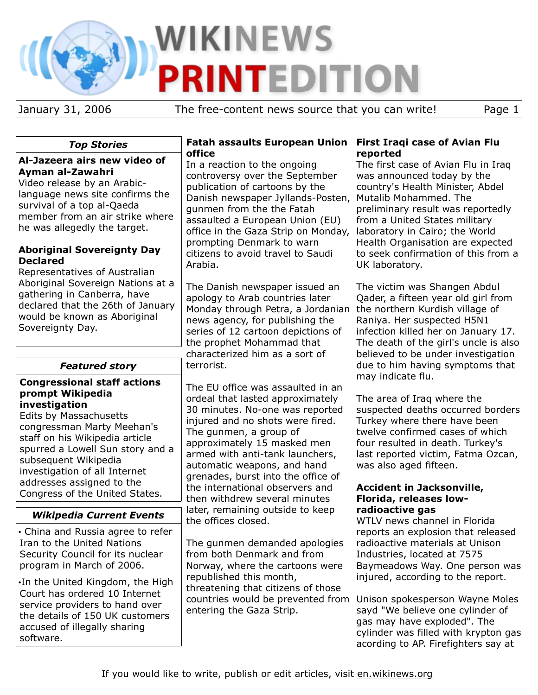# **WIKINEWS PRINTEDITION**

January 31, 2006 The free-content news source that you can write! Page 1

# *Top Stories*

### **Al-Jazeera airs new video of Ayman al-Zawahri**

Video release by an Arabiclanguage news site confirms the survival of a top al-Qaeda member from an air strike where he was allegedly the target.

#### **Aboriginal Sovereignty Day Declared**

Representatives of Australian Aboriginal Sovereign Nations at a gathering in Canberra, have declared that the 26th of January would be known as Aboriginal Sovereignty Day.

# *Featured story*

#### **Congressional staff actions prompt Wikipedia investigation**

Edits by Massachusetts congressman Marty Meehan's staff on his Wikipedia article spurred a Lowell Sun story and a subsequent Wikipedia investigation of all Internet addresses assigned to the Congress of the United States.

# *Wikipedia Current Events*

• China and Russia agree to refer Iran to the United Nations Security Council for its nuclear program in March of 2006.

•In the United Kingdom, the High Court has ordered 10 Internet service providers to hand over the details of 150 UK customers accused of illegally sharing software.

#### **Fatah assaults European Union First Iraqi case of Avian Flu office**

In a reaction to the ongoing controversy over the September publication of cartoons by the Danish newspaper Jyllands-Posten, Mutalib Mohammed. The gunmen from the the Fatah assaulted a European Union (EU) office in the Gaza Strip on Monday, prompting Denmark to warn citizens to avoid travel to Saudi Arabia.

The Danish newspaper issued an apology to Arab countries later Monday through Petra, a Jordanian the northern Kurdish village of news agency, for publishing the series of 12 cartoon depictions of the prophet Mohammad that characterized him as a sort of terrorist.

The EU office was assaulted in an ordeal that lasted approximately 30 minutes. No-one was reported injured and no shots were fired. The gunmen, a group of approximately 15 masked men armed with anti-tank launchers, automatic weapons, and hand grenades, burst into the office of the international observers and then withdrew several minutes later, remaining outside to keep the offices closed.

The gunmen demanded apologies from both Denmark and from Norway, where the cartoons were republished this month, threatening that citizens of those countries would be prevented from Unison spokesperson Wayne Moles entering the Gaza Strip.

# **reported**

The first case of Avian Flu in Iraq was announced today by the country's Health Minister, Abdel preliminary result was reportedly from a United States military laboratory in Cairo; the World Health Organisation are expected to seek confirmation of this from a UK laboratory.

The victim was Shangen Abdul Qader, a fifteen year old girl from Raniya. Her suspected H5N1 infection killed her on January 17. The death of the girl's uncle is also believed to be under investigation due to him having symptoms that may indicate flu.

The area of Iraq where the suspected deaths occurred borders Turkey where there have been twelve confirmed cases of which four resulted in death. Turkey's last reported victim, Fatma Ozcan, was also aged fifteen.

#### **Accident in Jacksonville, Florida, releases lowradioactive gas**

WTLV news channel in Florida reports an explosion that released radioactive materials at Unison Industries, located at 7575 Baymeadows Way. One person was injured, according to the report.

sayd "We believe one cylinder of gas may have exploded". The cylinder was filled with krypton gas acording to AP. Firefighters say at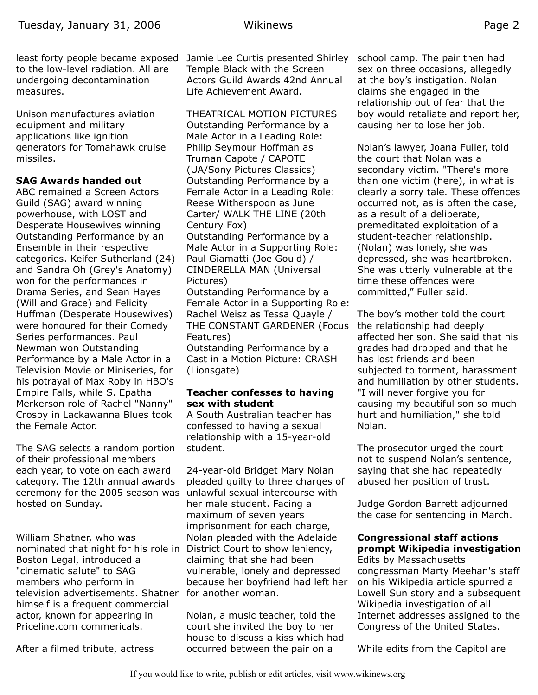least forty people became exposed to the low-level radiation. All are undergoing decontamination measures.

Unison manufactures aviation equipment and military applications like ignition generators for Tomahawk cruise missiles.

#### **SAG Awards handed out**

ABC remained a Screen Actors Guild (SAG) award winning powerhouse, with LOST and Desperate Housewives winning Outstanding Performance by an Ensemble in their respective categories. Keifer Sutherland (24) and Sandra Oh (Grey's Anatomy) won for the performances in Drama Series, and Sean Hayes (Will and Grace) and Felicity Huffman (Desperate Housewives) were honoured for their Comedy Series performances. Paul Newman won Outstanding Performance by a Male Actor in a Television Movie or Miniseries, for his potrayal of Max Roby in HBO's Empire Falls, while S. Epatha Merkerson role of Rachel "Nanny" Crosby in Lackawanna Blues took the Female Actor.

The SAG selects a random portion of their professional members each year, to vote on each award category. The 12th annual awards ceremony for the 2005 season was hosted on Sunday.

William Shatner, who was nominated that night for his role in District Court to show leniency, Boston Legal, introduced a "cinematic salute" to SAG members who perform in television advertisements. Shatner for another woman. himself is a frequent commercial actor, known for appearing in Priceline.com commericals.

After a filmed tribute, actress

Jamie Lee Curtis presented Shirley Temple Black with the Screen Actors Guild Awards 42nd Annual Life Achievement Award.

THEATRICAL MOTION PICTURES Outstanding Performance by a Male Actor in a Leading Role: Philip Seymour Hoffman as Truman Capote / CAPOTE (UA/Sony Pictures Classics) Outstanding Performance by a Female Actor in a Leading Role: Reese Witherspoon as June Carter/ WALK THE LINE (20th Century Fox) Outstanding Performance by a Male Actor in a Supporting Role: Paul Giamatti (Joe Gould) / CINDERELLA MAN (Universal Pictures) Outstanding Performance by a

Female Actor in a Supporting Role: Rachel Weisz as Tessa Quayle / THE CONSTANT GARDENER (Focus Features)

Outstanding Performance by a Cast in a Motion Picture: CRASH (Lionsgate)

#### **Teacher confesses to having sex with student**

A South Australian teacher has confessed to having a sexual relationship with a 15-year-old student.

24-year-old Bridget Mary Nolan pleaded guilty to three charges of unlawful sexual intercourse with her male student. Facing a maximum of seven years imprisonment for each charge, Nolan pleaded with the Adelaide claiming that she had been vulnerable, lonely and depressed because her boyfriend had left her

Nolan, a music teacher, told the court she invited the boy to her house to discuss a kiss which had occurred between the pair on a

school camp. The pair then had sex on three occasions, allegedly at the boy's instigation. Nolan claims she engaged in the relationship out of fear that the boy would retaliate and report her, causing her to lose her job.

Nolan's lawyer, Joana Fuller, told the court that Nolan was a secondary victim. "There's more than one victim (here), in what is clearly a sorry tale. These offences occurred not, as is often the case, as a result of a deliberate, premeditated exploitation of a student-teacher relationship. (Nolan) was lonely, she was depressed, she was heartbroken. She was utterly vulnerable at the time these offences were committed," Fuller said.

The boy's mother told the court the relationship had deeply affected her son. She said that his grades had dropped and that he has lost friends and been subjected to torment, harassment and humiliation by other students. "I will never forgive you for causing my beautiful son so much hurt and humiliation," she told Nolan.

The prosecutor urged the court not to suspend Nolan's sentence, saying that she had repeatedly abused her position of trust.

Judge Gordon Barrett adjourned the case for sentencing in March.

# **Congressional staff actions prompt Wikipedia investigation**

Edits by Massachusetts congressman Marty Meehan's staff on his Wikipedia article spurred a Lowell Sun story and a subsequent Wikipedia investigation of all Internet addresses assigned to the Congress of the United States.

While edits from the Capitol are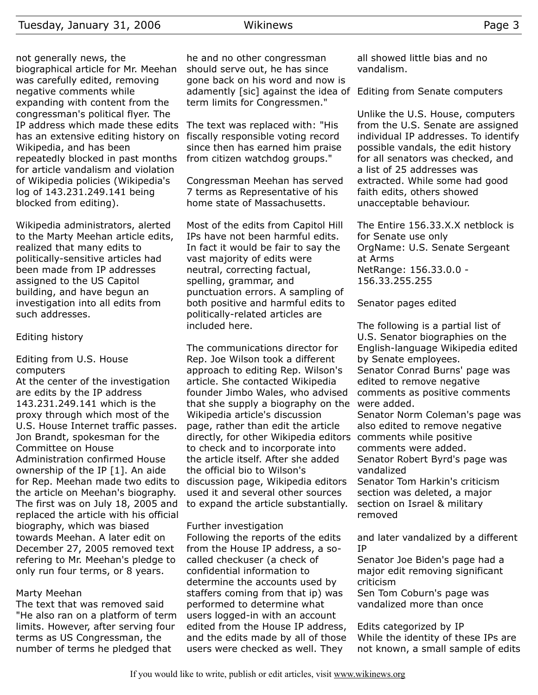not generally news, the biographical article for Mr. Meehan was carefully edited, removing negative comments while expanding with content from the congressman's political flyer. The IP address which made these edits The text was replaced with: "His has an extensive editing history on fiscally responsible voting record Wikipedia, and has been repeatedly blocked in past months for article vandalism and violation of Wikipedia policies (Wikipedia's log of 143.231.249.141 being blocked from editing).

Wikipedia administrators, alerted to the Marty Meehan article edits, realized that many edits to politically-sensitive articles had been made from IP addresses assigned to the US Capitol building, and have begun an investigation into all edits from such addresses.

#### Editing history

Editing from U.S. House computers

At the center of the investigation are edits by the IP address 143.231.249.141 which is the proxy through which most of the U.S. House Internet traffic passes. Jon Brandt, spokesman for the Committee on House Administration confirmed House ownership of the IP [1]. An aide for Rep. Meehan made two edits to the article on Meehan's biography. The first was on July 18, 2005 and replaced the article with his official biography, which was biased towards Meehan. A later edit on December 27, 2005 removed text refering to Mr. Meehan's pledge to only run four terms, or 8 years.

#### Marty Meehan

The text that was removed said "He also ran on a platform of term limits. However, after serving four terms as US Congressman, the number of terms he pledged that

he and no other congressman should serve out, he has since gone back on his word and now is adamently [sic] against the idea of term limits for Congressmen."

since then has earned him praise from citizen watchdog groups."

Congressman Meehan has served 7 terms as Representative of his home state of Massachusetts.

Most of the edits from Capitol Hill IPs have not been harmful edits. In fact it would be fair to say the vast majority of edits were neutral, correcting factual, spelling, grammar, and punctuation errors. A sampling of both positive and harmful edits to politically-related articles are included here.

The communications director for Rep. Joe Wilson took a different approach to editing Rep. Wilson's article. She contacted Wikipedia founder Jimbo Wales, who advised that she supply a biography on the were added. Wikipedia article's discussion page, rather than edit the article directly, for other Wikipedia editors to check and to incorporate into the article itself. After she added the official bio to Wilson's discussion page, Wikipedia editors used it and several other sources to expand the article substantially.

Further investigation

Following the reports of the edits from the House IP address, a socalled checkuser (a check of confidential information to determine the accounts used by staffers coming from that ip) was performed to determine what users logged-in with an account edited from the House IP address, and the edits made by all of those users were checked as well. They

all showed little bias and no vandalism.

Editing from Senate computers

Unlike the U.S. House, computers from the U.S. Senate are assigned individual IP addresses. To identify possible vandals, the edit history for all senators was checked, and a list of 25 addresses was extracted. While some had good faith edits, others showed unacceptable behaviour.

The Entire 156.33.X.X netblock is for Senate use only OrgName: U.S. Senate Sergeant at Arms NetRange: 156.33.0.0 - 156.33.255.255

Senator pages edited

The following is a partial list of U.S. Senator biographies on the English-language Wikipedia edited by Senate employees. Senator Conrad Burns' page was edited to remove negative comments as positive comments Senator Norm Coleman's page was

also edited to remove negative comments while positive comments were added. Senator Robert Byrd's page was vandalized

Senator Tom Harkin's criticism section was deleted, a major section on Israel & military removed

and later vandalized by a different IP

Senator Joe Biden's page had a major edit removing significant criticism

Sen Tom Coburn's page was vandalized more than once

Edits categorized by IP While the identity of these IPs are not known, a small sample of edits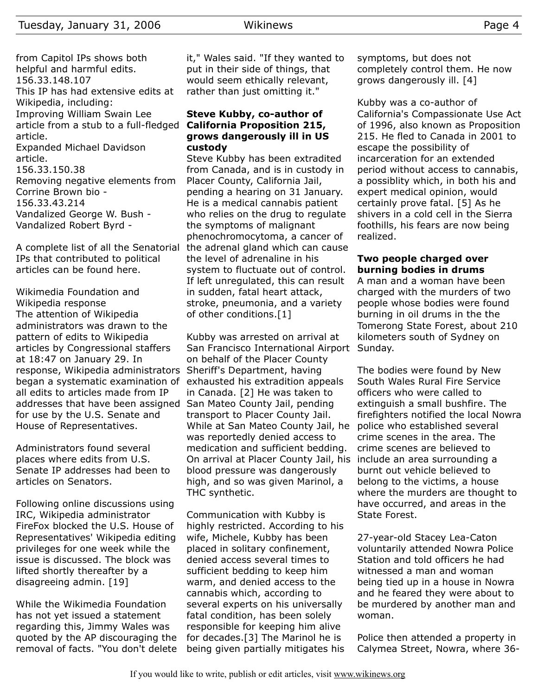from Capitol IPs shows both helpful and harmful edits. 156.33.148.107 This IP has had extensive edits at Wikipedia, including: Improving William Swain Lee article from a stub to a full-fledged **California Proposition 215,** article. Expanded Michael Davidson article. 156.33.150.38 Removing negative elements from Corrine Brown bio - 156.33.43.214 Vandalized George W. Bush - Vandalized Robert Byrd -

A complete list of all the Senatorial the adrenal gland which can cause IPs that contributed to political articles can be found here.

Wikimedia Foundation and Wikipedia response The attention of Wikipedia administrators was drawn to the pattern of edits to Wikipedia articles by Congressional staffers at 18:47 on January 29. In response, Wikipedia administrators began a systematic examination of exhausted his extradition appeals all edits to articles made from IP addresses that have been assigned San Mateo County Jail, pending for use by the U.S. Senate and House of Representatives.

Administrators found several places where edits from U.S. Senate IP addresses had been to articles on Senators.

Following online discussions using IRC, Wikipedia administrator FireFox blocked the U.S. House of Representatives' Wikipedia editing privileges for one week while the issue is discussed. The block was lifted shortly thereafter by a disagreeing admin. [19]

While the Wikimedia Foundation has not yet issued a statement regarding this, Jimmy Wales was quoted by the AP discouraging the removal of facts. "You don't delete it," Wales said. "If they wanted to put in their side of things, that would seem ethically relevant, rather than just omitting it."

# **Steve Kubby, co-author of grows dangerously ill in US custody**

Steve Kubby has been extradited from Canada, and is in custody in Placer County, California Jail, pending a hearing on 31 January. He is a medical cannabis patient who relies on the drug to regulate the symptoms of malignant phenochromocytoma, a cancer of the level of adrenaline in his system to fluctuate out of control. If left unregulated, this can result in sudden, fatal heart attack, stroke, pneumonia, and a variety of other conditions.[1]

Kubby was arrested on arrival at San Francisco International Airport Sunday. on behalf of the Placer County Sheriff's Department, having in Canada. [2] He was taken to transport to Placer County Jail. While at San Mateo County Jail, he was reportedly denied access to medication and sufficient bedding. On arrival at Placer County Jail, his include an area surrounding a blood pressure was dangerously high, and so was given Marinol, a THC synthetic.

Communication with Kubby is highly restricted. According to his wife, Michele, Kubby has been placed in solitary confinement, denied access several times to sufficient bedding to keep him warm, and denied access to the cannabis which, according to several experts on his universally fatal condition, has been solely responsible for keeping him alive for decades.[3] The Marinol he is being given partially mitigates his symptoms, but does not completely control them. He now grows dangerously ill. [4]

Kubby was a co-author of California's Compassionate Use Act of 1996, also known as Proposition 215. He fled to Canada in 2001 to escape the possibility of incarceration for an extended period without access to cannabis, a possiblity which, in both his and expert medical opinion, would certainly prove fatal. [5] As he shivers in a cold cell in the Sierra foothills, his fears are now being realized.

#### **Two people charged over burning bodies in drums**

A man and a woman have been charged with the murders of two people whose bodies were found burning in oil drums in the the Tomerong State Forest, about 210 kilometers south of Sydney on

The bodies were found by New South Wales Rural Fire Service officers who were called to extinguish a small bushfire. The firefighters notified the local Nowra police who established several crime scenes in the area. The crime scenes are believed to burnt out vehicle believed to belong to the victims, a house where the murders are thought to have occurred, and areas in the State Forest.

27-year-old Stacey Lea-Caton voluntarily attended Nowra Police Station and told officers he had witnessed a man and woman being tied up in a house in Nowra and he feared they were about to be murdered by another man and woman.

Police then attended a property in Calymea Street, Nowra, where 36